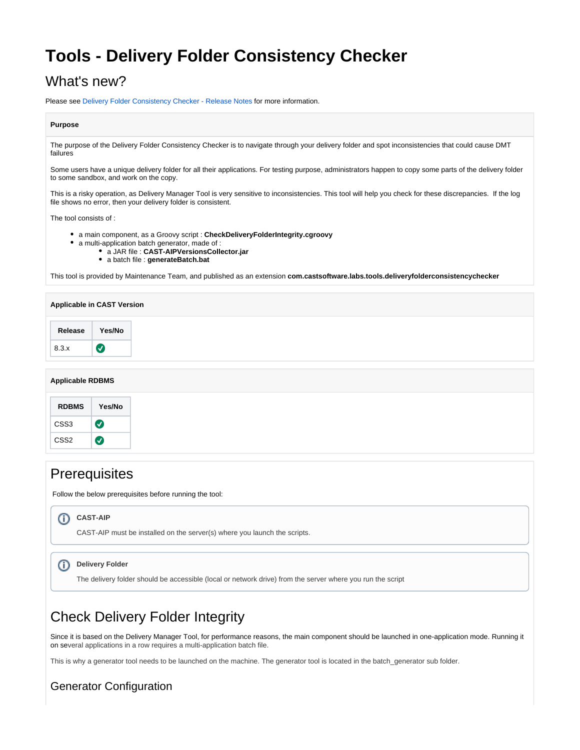# **Tools - Delivery Folder Consistency Checker**

# What's new?

Please see [Delivery Folder Consistency Checker - Release Notes](https://doc.castsoftware.com/display/TG/Tools+-+Delivery+Folder+Consistency+Checker+-+Release+Notes) for more information.

### **Purpose**

The purpose of the Delivery Folder Consistency Checker is to navigate through your delivery folder and spot inconsistencies that could cause DMT failures

Some users have a unique delivery folder for all their applications. For testing purpose, administrators happen to copy some parts of the delivery folder to some sandbox, and work on the copy.

This is a risky operation, as Delivery Manager Tool is very sensitive to inconsistencies. This tool will help you check for these discrepancies. If the log file shows no error, then your delivery folder is consistent.

The tool consists of :

- a main component, as a Groovy script : **CheckDeliveryFolderIntegrity.cgroovy**
- a multi-application batch generator, made of :
	- a JAR file : **CAST-AIPVersionsCollector.jar**
	- a batch file : **generateBatch.bat**

This tool is provided by Maintenance Team, and published as an extension **com.castsoftware.labs.tools.deliveryfolderconsistencychecker**

| Applicable in CAST Version |           |
|----------------------------|-----------|
| Release                    | Yes/No    |
| 8.3.x                      | <b>KV</b> |

### **Applicable RDBMS**

## **Prerequisites**

Follow the below prerequisites before running the tool:

#### **CAST-AIP** (i)

CAST-AIP must be installed on the server(s) where you launch the scripts.

#### $\odot$ **Delivery Folder**

The delivery folder should be accessible (local or network drive) from the server where you run the script

# Check Delivery Folder Integrity

Since it is based on the Delivery Manager Tool, for performance reasons, the main component should be launched in one-application mode. Running it on several applications in a row requires a multi-application batch file.

This is why a generator tool needs to be launched on the machine. The generator tool is located in the batch\_generator sub folder.

## Generator Configuration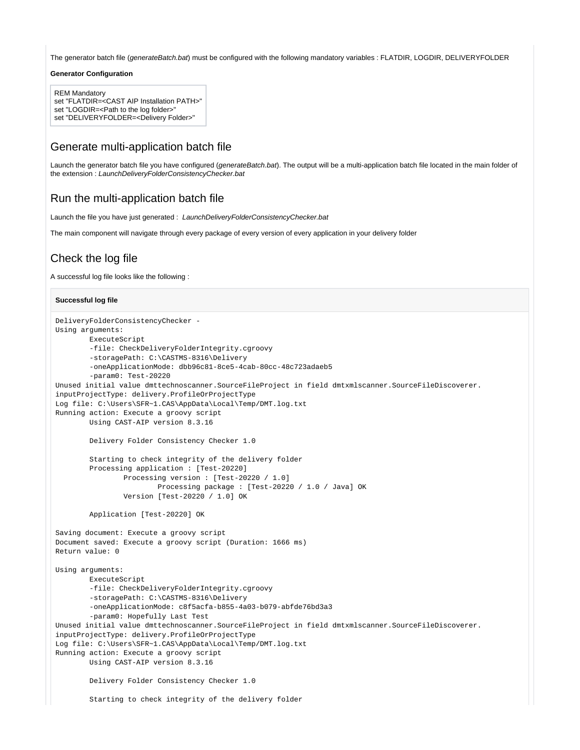The generator batch file (generateBatch.bat) must be configured with the following mandatory variables : FLATDIR, LOGDIR, DELIVERYFOLDER

#### **Generator Configuration**

```
REM Mandatory
```
set "FLATDIR=<CAST AIP Installation PATH>"

set "LOGDIR=<Path to the log folder>'

```
set "DELIVERYFOLDER=<Delivery Folder>"
```
## Generate multi-application batch file

Launch the generator batch file you have configured (generateBatch.bat). The output will be a multi-application batch file located in the main folder of the extension : LaunchDeliveryFolderConsistencyChecker.bat

## Run the multi-application batch file

Launch the file you have just generated : LaunchDeliveryFolderConsistencyChecker.bat

The main component will navigate through every package of every version of every application in your delivery folder

## Check the log file

A successful log file looks like the following :

#### **Successful log file**

```
DeliveryFolderConsistencyChecker - 
Using arguments:
         ExecuteScript
         -file: CheckDeliveryFolderIntegrity.cgroovy
         -storagePath: C:\CASTMS-8316\Delivery
         -oneApplicationMode: dbb96c81-8ce5-4cab-80cc-48c723adaeb5
         -param0: Test-20220
Unused initial value dmttechnoscanner.SourceFileProject in field dmtxmlscanner.SourceFileDiscoverer.
inputProjectType: delivery.ProfileOrProjectType
Log file: C:\Users\SFR~1.CAS\AppData\Local\Temp/DMT.log.txt
Running action: Execute a groovy script
         Using CAST-AIP version 8.3.16
         Delivery Folder Consistency Checker 1.0
         Starting to check integrity of the delivery folder
         Processing application : [Test-20220]
                 Processing version : [Test-20220 / 1.0]
                         Processing package : [Test-20220 / 1.0 / Java] OK
                 Version [Test-20220 / 1.0] OK
         Application [Test-20220] OK
Saving document: Execute a groovy script
Document saved: Execute a groovy script (Duration: 1666 ms)
Return value: 0
Using arguments:
         ExecuteScript
         -file: CheckDeliveryFolderIntegrity.cgroovy
         -storagePath: C:\CASTMS-8316\Delivery
         -oneApplicationMode: c8f5acfa-b855-4a03-b079-abfde76bd3a3
         -param0: Hopefully Last Test
Unused initial value dmttechnoscanner.SourceFileProject in field dmtxmlscanner.SourceFileDiscoverer.
inputProjectType: delivery.ProfileOrProjectType
Log file: C:\Users\SFR~1.CAS\AppData\Local\Temp/DMT.log.txt
Running action: Execute a groovy script
        Using CAST-AIP version 8.3.16
         Delivery Folder Consistency Checker 1.0
         Starting to check integrity of the delivery folder
```